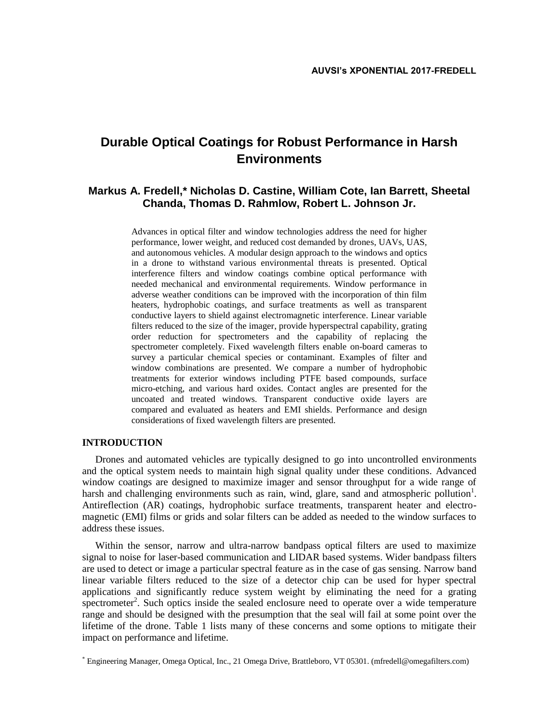# **Durable Optical Coatings for Robust Performance in Harsh Environments**

# **Markus A. Fredell,\* Nicholas D. Castine, William Cote, Ian Barrett, Sheetal Chanda, Thomas D. Rahmlow, Robert L. Johnson Jr.**

Advances in optical filter and window technologies address the need for higher performance, lower weight, and reduced cost demanded by drones, UAVs, UAS, and autonomous vehicles. A modular design approach to the windows and optics in a drone to withstand various environmental threats is presented. Optical interference filters and window coatings combine optical performance with needed mechanical and environmental requirements. Window performance in adverse weather conditions can be improved with the incorporation of thin film heaters, hydrophobic coatings, and surface treatments as well as transparent conductive layers to shield against electromagnetic interference. Linear variable filters reduced to the size of the imager, provide hyperspectral capability, grating order reduction for spectrometers and the capability of replacing the spectrometer completely. Fixed wavelength filters enable on-board cameras to survey a particular chemical species or contaminant. Examples of filter and window combinations are presented. We compare a number of hydrophobic treatments for exterior windows including PTFE based compounds, surface micro-etching, and various hard oxides. Contact angles are presented for the uncoated and treated windows. Transparent conductive oxide layers are compared and evaluated as heaters and EMI shields. Performance and design considerations of fixed wavelength filters are presented.

## **INTRODUCTION**

Drones and automated vehicles are typically designed to go into uncontrolled environments and the optical system needs to maintain high signal quality under these conditions. Advanced window coatings are designed to maximize imager and sensor throughput for a wide range of harsh and challenging environments such as rain, wind, glare, sand and atmospheric pollution<sup>1</sup>. Antireflection (AR) coatings, hydrophobic surface treatments, transparent heater and electromagnetic (EMI) films or grids and solar filters can be added as needed to the window surfaces to address these issues.

Within the sensor, narrow and ultra-narrow bandpass optical filters are used to maximize signal to noise for laser-based communication and LIDAR based systems. Wider bandpass filters are used to detect or image a particular spectral feature as in the case of gas sensing. Narrow band linear variable filters reduced to the size of a detector chip can be used for hyper spectral applications and significantly reduce system weight by eliminating the need for a grating spectrometer<sup>2</sup>. Such optics inside the sealed enclosure need to operate over a wide temperature range and should be designed with the presumption that the seal will fail at some point over the lifetime of the drone. Table 1 lists many of these concerns and some options to mitigate their impact on performance and lifetime.

<sup>\*</sup> Engineering Manager, Omega Optical, Inc., 21 Omega Drive, Brattleboro, VT 05301. (mfredell@omegafilters.com)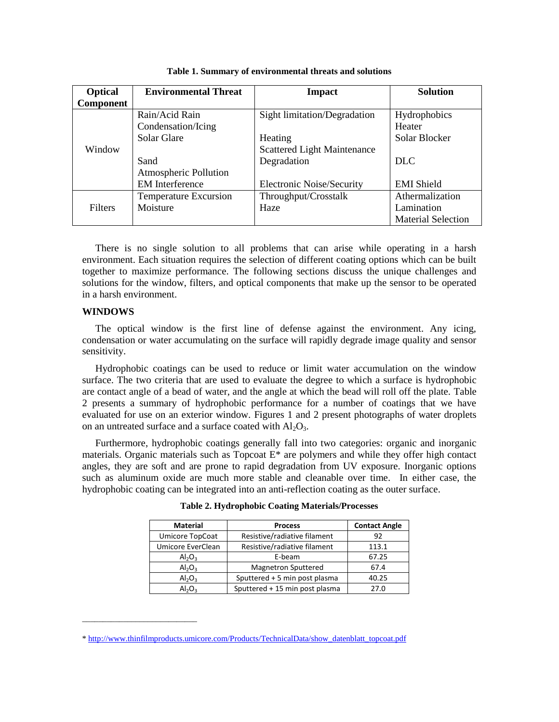| <b>Optical</b> | <b>Environmental Threat</b>  | <b>Impact</b>                      | <b>Solution</b>           |
|----------------|------------------------------|------------------------------------|---------------------------|
| Component      |                              |                                    |                           |
| Window         | Rain/Acid Rain               | Sight limitation/Degradation       | Hydrophobics              |
|                | Condensation/Icing           |                                    | Heater                    |
|                | Solar Glare                  | Heating                            | Solar Blocker             |
|                |                              | <b>Scattered Light Maintenance</b> |                           |
|                | Sand                         | Degradation                        | DLC                       |
|                | Atmospheric Pollution        |                                    |                           |
|                | <b>EM</b> Interference       | <b>Electronic Noise/Security</b>   | <b>EMI</b> Shield         |
| <b>Filters</b> | <b>Temperature Excursion</b> | Throughput/Crosstalk               | Athermalization           |
|                | Moisture                     | Haze                               | Lamination                |
|                |                              |                                    | <b>Material Selection</b> |

**Table 1. Summary of environmental threats and solutions**

There is no single solution to all problems that can arise while operating in a harsh environment. Each situation requires the selection of different coating options which can be built together to maximize performance. The following sections discuss the unique challenges and solutions for the window, filters, and optical components that make up the sensor to be operated in a harsh environment.

# **WINDOWS**

\_\_\_\_\_\_\_\_\_\_\_\_\_\_\_\_\_\_\_\_\_\_\_\_\_\_\_\_

The optical window is the first line of defense against the environment. Any icing, condensation or water accumulating on the surface will rapidly degrade image quality and sensor sensitivity.

Hydrophobic coatings can be used to reduce or limit water accumulation on the window surface. The two criteria that are used to evaluate the degree to which a surface is hydrophobic are contact angle of a bead of water, and the angle at which the bead will roll off the plate. Table 2 presents a summary of hydrophobic performance for a number of coatings that we have evaluated for use on an exterior window. Figures 1 and 2 present photographs of water droplets on an untreated surface and a surface coated with  $Al_2O_3$ .

Furthermore, hydrophobic coatings generally fall into two categories: organic and inorganic materials. Organic materials such as Topcoat  $E^*$  are polymers and while they offer high contact angles, they are soft and are prone to rapid degradation from UV exposure. Inorganic options such as aluminum oxide are much more stable and cleanable over time. In either case, the hydrophobic coating can be integrated into an anti-reflection coating as the outer surface.

| <b>Material</b>   | <b>Process</b>                 | <b>Contact Angle</b> |
|-------------------|--------------------------------|----------------------|
| Umicore TopCoat   | Resistive/radiative filament   | 92                   |
| Umicore EverClean | Resistive/radiative filament   | 113.1                |
| $Al_2O_3$         | E-beam                         | 67.25                |
| $Al_2O_3$         | <b>Magnetron Sputtered</b>     | 67.4                 |
| $Al_2O_3$         | Sputtered + 5 min post plasma  | 40.25                |
| $Al_2O_3$         | Sputtered + 15 min post plasma | 27.0                 |

**Table 2. Hydrophobic Coating Materials/Processes**

[<sup>\\*</sup> http://www.thinfilmproducts.umicore.com/Products/TechnicalData/show\\_datenblatt\\_topcoat.pdf](http://www.thinfilmproducts.umicore.com/Products/TechnicalData/show_datenblatt_topcoat.pdf)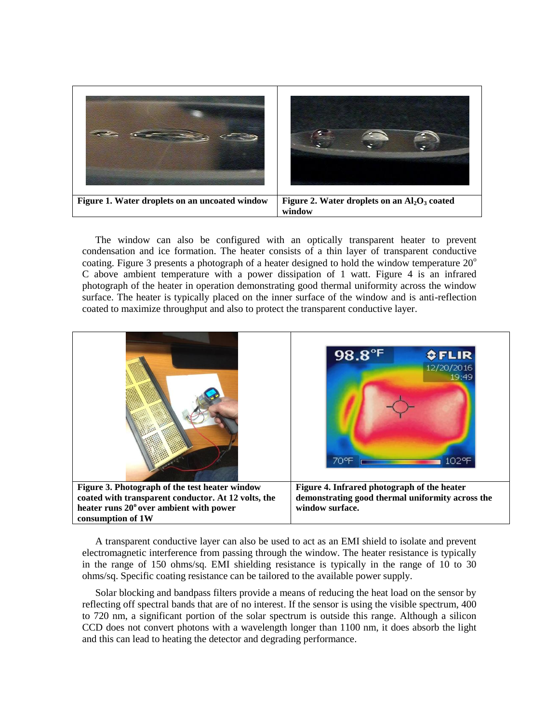

The window can also be configured with an optically transparent heater to prevent condensation and ice formation. The heater consists of a thin layer of transparent conductive coating. Figure 3 presents a photograph of a heater designed to hold the window temperature  $20^{\circ}$ C above ambient temperature with a power dissipation of 1 watt. Figure 4 is an infrared photograph of the heater in operation demonstrating good thermal uniformity across the window surface. The heater is typically placed on the inner surface of the window and is anti-reflection coated to maximize throughput and also to protect the transparent conductive layer.



A transparent conductive layer can also be used to act as an EMI shield to isolate and prevent electromagnetic interference from passing through the window. The heater resistance is typically in the range of 150 ohms/sq. EMI shielding resistance is typically in the range of 10 to 30 ohms/sq. Specific coating resistance can be tailored to the available power supply.

Solar blocking and bandpass filters provide a means of reducing the heat load on the sensor by reflecting off spectral bands that are of no interest. If the sensor is using the visible spectrum, 400 to 720 nm, a significant portion of the solar spectrum is outside this range. Although a silicon CCD does not convert photons with a wavelength longer than 1100 nm, it does absorb the light and this can lead to heating the detector and degrading performance.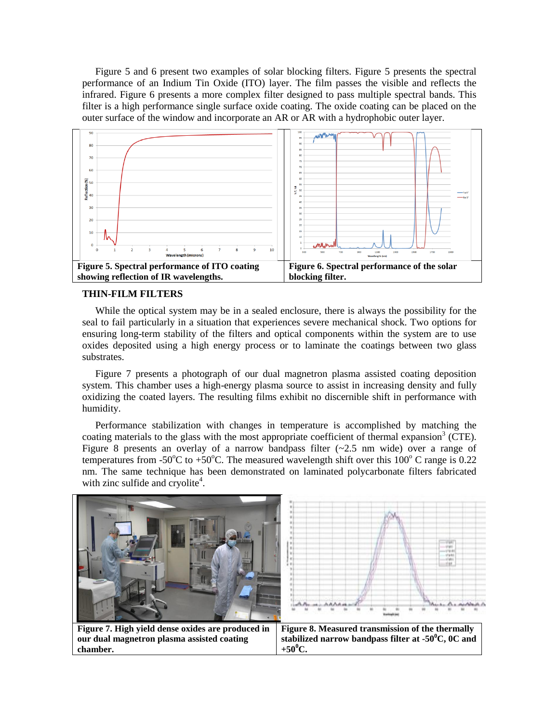Figure 5 and 6 present two examples of solar blocking filters. Figure 5 presents the spectral performance of an Indium Tin Oxide (ITO) layer. The film passes the visible and reflects the infrared. Figure 6 presents a more complex filter designed to pass multiple spectral bands. This filter is a high performance single surface oxide coating. The oxide coating can be placed on the outer surface of the window and incorporate an AR or AR with a hydrophobic outer layer.



# **THIN-FILM FILTERS**

**chamber.** 

While the optical system may be in a sealed enclosure, there is always the possibility for the seal to fail particularly in a situation that experiences severe mechanical shock. Two options for ensuring long-term stability of the filters and optical components within the system are to use oxides deposited using a high energy process or to laminate the coatings between two glass substrates.

Figure 7 presents a photograph of our dual magnetron plasma assisted coating deposition system. This chamber uses a high-energy plasma source to assist in increasing density and fully oxidizing the coated layers. The resulting films exhibit no discernible shift in performance with humidity.

Performance stabilization with changes in temperature is accomplished by matching the coating materials to the glass with the most appropriate coefficient of thermal expansion<sup>3</sup> (CTE). Figure 8 presents an overlay of a narrow bandpass filter  $(-2.5 \text{ nm}$  wide) over a range of temperatures from -50 $^{\circ}$ C to +50 $^{\circ}$ C. The measured wavelength shift over this 100 $^{\circ}$ C range is 0.22 nm. The same technique has been demonstrated on laminated polycarbonate filters fabricated with zinc sulfide and cryolite<sup>4</sup>.



 $+50^{\circ}$ C.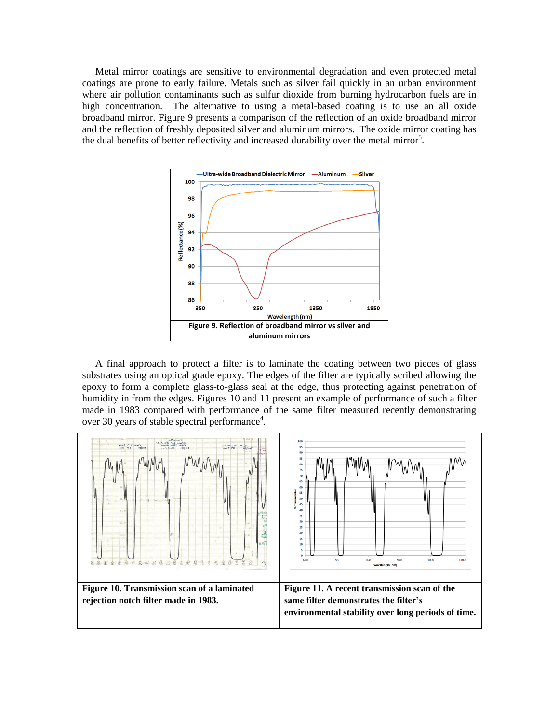Metal mirror coatings are sensitive to environmental degradation and even protected metal coatings are prone to early failure. Metals such as silver fail quickly in an urban environment where air pollution contaminants such as sulfur dioxide from burning hydrocarbon fuels are in high concentration. The alternative to using a metal-based coating is to use an all oxide broadband mirror. Figure 9 presents a comparison of the reflection of an oxide broadband mirror and the reflection of freshly deposited silver and aluminum mirrors. The oxide mirror coating has the dual benefits of better reflectivity and increased durability over the metal mirror<sup>5</sup>.



A final approach to protect a filter is to laminate the coating between two pieces of glass substrates using an optical grade epoxy. The edges of the filter are typically scribed allowing the epoxy to form a complete glass-to-glass seal at the edge, thus protecting against penetration of humidity in from the edges. Figures 10 and 11 present an example of performance of such a filter made in 1983 compared with performance of the same filter measured recently demonstrating over 30 years of stable spectral performance<sup>4</sup>.